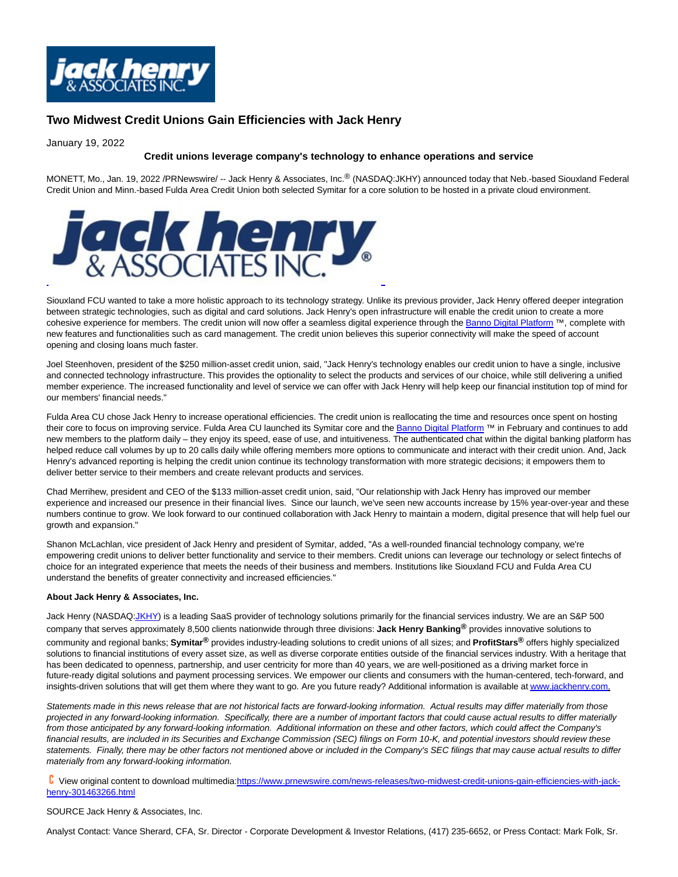

## **Two Midwest Credit Unions Gain Efficiencies with Jack Henry**

January 19, 2022

## **Credit unions leverage company's technology to enhance operations and service**

MONETT, Mo., Jan. 19, 2022 /PRNewswire/ -- Jack Henry & Associates, Inc.® (NASDAQ:JKHY) announced today that Neb.-based Siouxland Federal Credit Union and Minn.-based Fulda Area Credit Union both selected Symitar for a core solution to be hosted in a private cloud environment.



Siouxland FCU wanted to take a more holistic approach to its technology strategy. Unlike its previous provider, Jack Henry offered deeper integration between strategic technologies, such as digital and card solutions. Jack Henry's open infrastructure will enable the credit union to create a more cohesive experience for members. The credit union will now offer a seamless digital experience through the [Banno Digital Platform](https://c212.net/c/link/?t=0&l=en&o=3416699-1&h=2251412928&u=https%3A%2F%2Fbanno.com%2F&a=Banno+Digital+Platform) ™, complete with new features and functionalities such as card management. The credit union believes this superior connectivity will make the speed of account opening and closing loans much faster.

Joel Steenhoven, president of the \$250 million-asset credit union, said, "Jack Henry's technology enables our credit union to have a single, inclusive and connected technology infrastructure. This provides the optionality to select the products and services of our choice, while still delivering a unified member experience. The increased functionality and level of service we can offer with Jack Henry will help keep our financial institution top of mind for our members' financial needs."

Fulda Area CU chose Jack Henry to increase operational efficiencies. The credit union is reallocating the time and resources once spent on hosting their core to focus on improving service. Fulda Area CU launched its Symitar core and th[e Banno Digital Platform](https://c212.net/c/link/?t=0&l=en&o=3416699-1&h=2251412928&u=https%3A%2F%2Fbanno.com%2F&a=Banno+Digital+Platform) ™ in February and continues to add new members to the platform daily – they enjoy its speed, ease of use, and intuitiveness. The authenticated chat within the digital banking platform has helped reduce call volumes by up to 20 calls daily while offering members more options to communicate and interact with their credit union. And, Jack Henry's advanced reporting is helping the credit union continue its technology transformation with more strategic decisions; it empowers them to deliver better service to their members and create relevant products and services.

Chad Merrihew, president and CEO of the \$133 million-asset credit union, said, "Our relationship with Jack Henry has improved our member experience and increased our presence in their financial lives. Since our launch, we've seen new accounts increase by 15% year-over-year and these numbers continue to grow. We look forward to our continued collaboration with Jack Henry to maintain a modern, digital presence that will help fuel our growth and expansion."

Shanon McLachlan, vice president of Jack Henry and president of Symitar, added, "As a well-rounded financial technology company, we're empowering credit unions to deliver better functionality and service to their members. Credit unions can leverage our technology or select fintechs of choice for an integrated experience that meets the needs of their business and members. Institutions like Siouxland FCU and Fulda Area CU understand the benefits of greater connectivity and increased efficiencies."

## **About Jack Henry & Associates, Inc.**

Jack Henry (NASDA[Q:JKHY\)](https://c212.net/c/link/?t=0&l=en&o=3416699-1&h=245059151&u=http%3A%2F%2Fwww.nasdaq.com%2Fsymbol%2Fjkhy&a=JKHY) is a leading SaaS provider of technology solutions primarily for the financial services industry. We are an S&P 500 company that serves approximately 8,500 clients nationwide through three divisions: **Jack Henry Banking®** provides innovative solutions to community and regional banks; **Symitar®** provides industry-leading solutions to credit unions of all sizes; and **ProfitStars®** offers highly specialized solutions to financial institutions of every asset size, as well as diverse corporate entities outside of the financial services industry. With a heritage that has been dedicated to openness, partnership, and user centricity for more than 40 years, we are well-positioned as a driving market force in future-ready digital solutions and payment processing services. We empower our clients and consumers with the human-centered, tech-forward, and insights-driven solutions that will get them where they want to go. Are you future ready? Additional information is available a[t www.jackhenry.com.](https://c212.net/c/link/?t=0&l=en&o=3416699-1&h=3678682895&u=http%3A%2F%2Fwww.jackhenry.com%2F&a=www.jackhenry.com)

Statements made in this news release that are not historical facts are forward-looking information. Actual results may differ materially from those projected in any forward-looking information. Specifically, there are a number of important factors that could cause actual results to differ materially from those anticipated by any forward-looking information. Additional information on these and other factors, which could affect the Company's financial results, are included in its Securities and Exchange Commission (SEC) filings on Form 10-K, and potential investors should review these statements. Finally, there may be other factors not mentioned above or included in the Company's SEC filings that may cause actual results to differ materially from any forward-looking information.

 View original content to download multimedia[:https://www.prnewswire.com/news-releases/two-midwest-credit-unions-gain-efficiencies-with-jack](https://www.prnewswire.com/news-releases/two-midwest-credit-unions-gain-efficiencies-with-jack-henry-301463266.html)henry-301463266.html

SOURCE Jack Henry & Associates, Inc.

Analyst Contact: Vance Sherard, CFA, Sr. Director - Corporate Development & Investor Relations, (417) 235-6652, or Press Contact: Mark Folk, Sr.